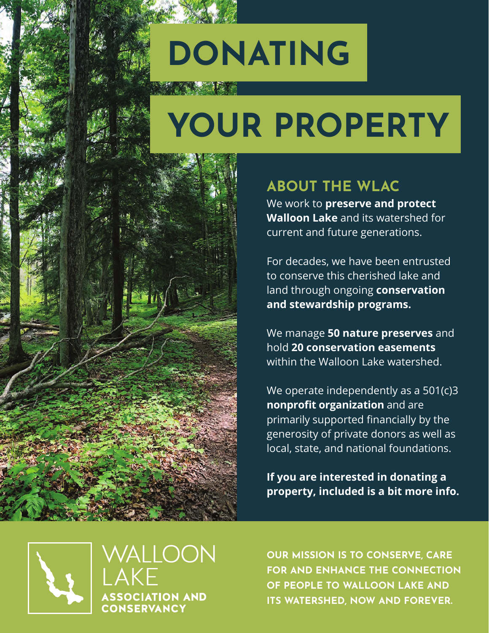# DONATING

# YOUR PROPERTY



### ABOUT THE WLAC

We work to **preserve and protect Walloon Lake** and its watershed for current and future generations.

For decades, we have been entrusted to conserve this cherished lake and land through ongoing **conservation and stewardship programs.**

We manage **50 nature preserves** and hold **20 conservation easements** within the Walloon Lake watershed.

We operate independently as a 501(c)3 **nonprofit organization** and are primarily supported financially by the generosity of private donors as well as local, state, and national foundations.

**If you are interested in donating a property, included is a bit more info.**



WALLOON **AKF ASSOCIATION AND** CONSERVANCY

OUR MISSION IS TO CONSERVE, CARE FOR AND ENHANCE THE CONNECTION OF PEOPLE TO WALLOON LAKE AND ITS WATERSHED, NOW AND FOREVER.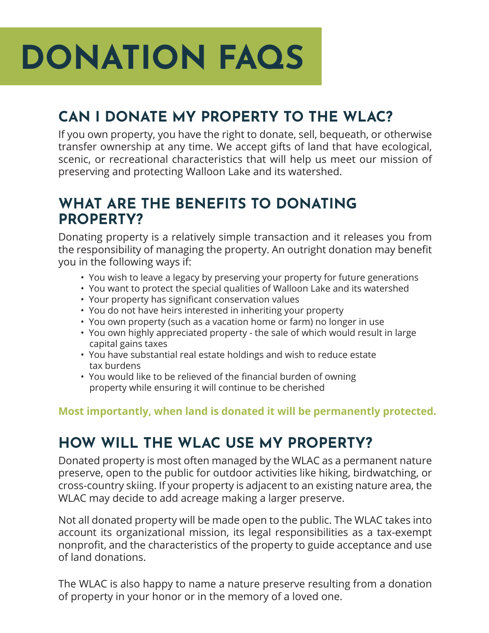# DONATION FAQS

# CAN I DONATE MY PROPERTY TO THE WLAC?

If you own property, you have the right to donate, sell, bequeath, or otherwise transfer ownership at any time. We accept gifts of land that have ecological, scenic, or recreational characteristics that will help us meet our mission of preserving and protecting Walloon Lake and its watershed.

#### WHAT ARE THE BENEFITS TO DONATING PROPERTY?

Donating property is a relatively simple transaction and it releases you from the responsibility of managing the property. An outright donation may benefit you in the following ways if:

- You wish to leave a legacy by preserving your property for future generations
- You want to protect the special qualities of Walloon Lake and its watershed
- Your property has significant conservation values
- You do not have heirs interested in inheriting your property
- You own property (such as a vacation home or farm) no longer in use
- You own highly appreciated property the sale of which would result in large capital gains taxes
- You have substantial real estate holdings and wish to reduce estate tax burdens
- You would like to be relieved of the financial burden of owning property while ensuring it will continue to be cherished

**Most importantly, when land is donated it will be permanently protected.**

### HOW WILL THE WLAC USE MY PROPERTY?

Donated property is most often managed by the WLAC as a permanent nature preserve, open to the public for outdoor activities like hiking, birdwatching, or cross-country skiing. If your property is adjacent to an existing nature area, the WLAC may decide to add acreage making a larger preserve.

Not all donated property will be made open to the public. The WLAC takes into account its organizational mission, its legal responsibilities as a tax-exempt nonprofit, and the characteristics of the property to guide acceptance and use of land donations.

The WLAC is also happy to name a nature preserve resulting from a donation of property in your honor or in the memory of a loved one.